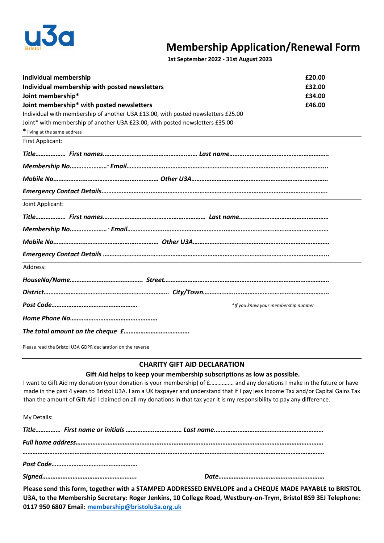

## **Membership Application/Renewal Form 1st September 2022 - 31st August 2023**

| <b>Individual membership</b>                                                     | £20.00 |
|----------------------------------------------------------------------------------|--------|
| Individual membership with posted newsletters                                    | £32.00 |
| Joint membership*                                                                | £34.00 |
| Joint membership* with posted newsletters                                        | £46.00 |
| Individual with membership of another U3A £13.00, with posted newsletters £25.00 |        |
| Joint* with membership of another U3A £23.00, with posted newsletters £35.00     |        |
| * living at the same address                                                     |        |
| First Applicant:                                                                 |        |
|                                                                                  |        |
|                                                                                  |        |
|                                                                                  |        |
|                                                                                  |        |
| Joint Applicant:                                                                 |        |
|                                                                                  |        |
|                                                                                  |        |
|                                                                                  |        |
|                                                                                  |        |
| Address:                                                                         |        |
|                                                                                  |        |
|                                                                                  |        |
| " If you know your membership number                                             |        |
|                                                                                  |        |
|                                                                                  |        |

Please read the Bristol U3A GDPR declaration on the reverse

## **CHARITY GIFT AID DECLARATION**

## **Gift Aid helps to keep your membership subscriptions as low as possible.**

I want to Gift Aid my donation (your donation is your membership) of f................ and any donations I make in the future or have made in the past 4 years to Bristol U3A. I am a UK taxpayer and understand that if I pay less Income Tax and/or Capital Gains Tax than the amount of Gift Aid I claimed on all my donations in that tax year it is my responsibility to pay any difference.

| My Details: |  |  |
|-------------|--|--|
|             |  |  |
|             |  |  |
|             |  |  |
|             |  |  |

**Please send this form, together with a STAMPED ADDRESSED ENVELOPE and a CHEQUE MADE PAYABLE to BRISTOL U3A, to the Membership Secretary: Roger Jenkins, 10 College Road, Westbury-on-Trym, Bristol BS9 3EJ Telephone: 0117 950 6807 Email: membership@bristolu3a.org.uk**